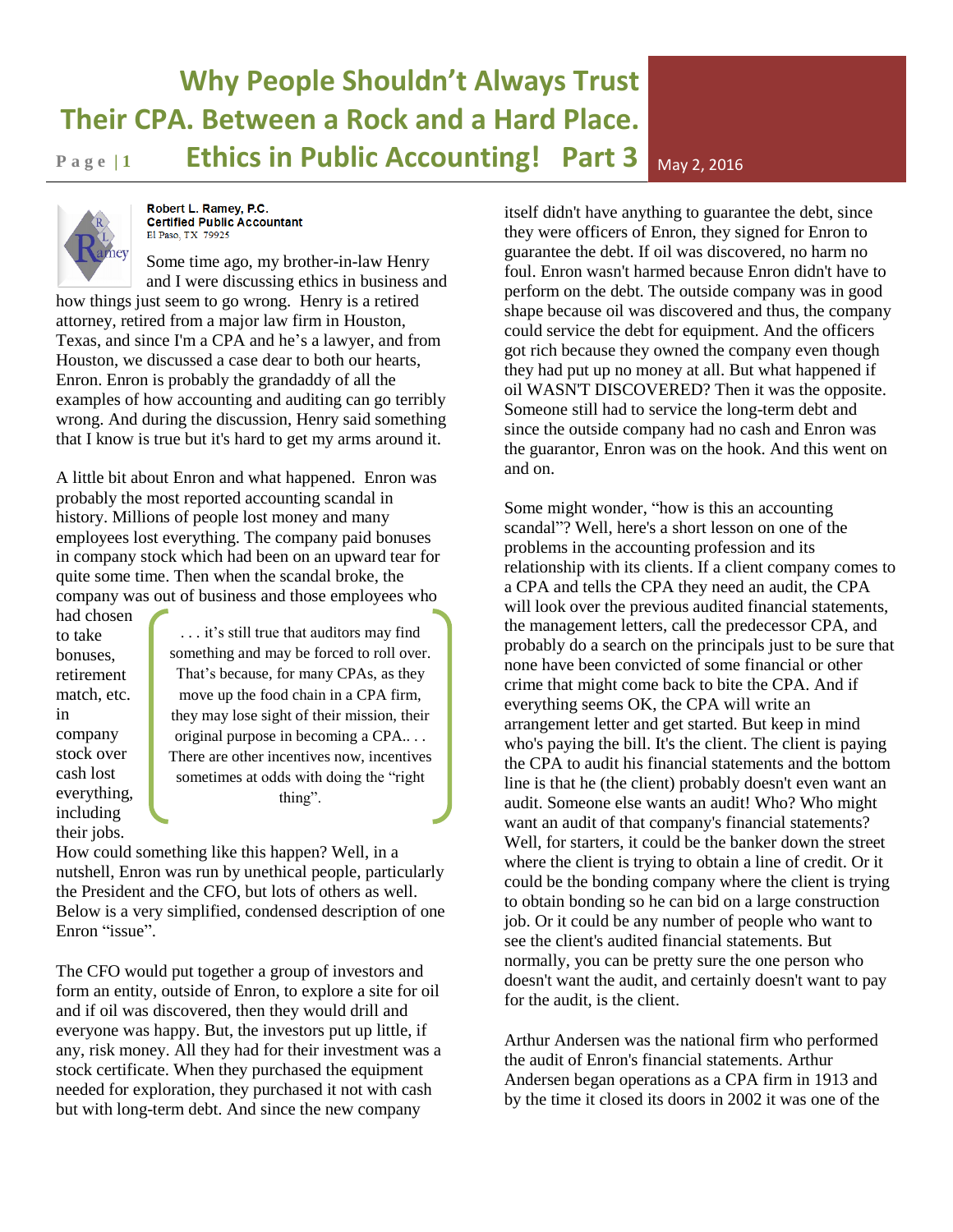# **Why People Shouldn't Always Trust Their CPA. Between a Rock and a Hard Place. Page 11 Ethics in Public Accounting! Part 3** May 2, 2016

Robert L. Ramey, P.C. **Certified Public Accountant** El Paso, TX 79925

Some time ago, my brother-in-law Henry and I were discussing ethics in business and

how things just seem to go wrong. Henry is a retired attorney, retired from a major law firm in Houston, Texas, and since I'm a CPA and he's a lawyer, and from Houston, we discussed a case dear to both our hearts, Enron. Enron is probably the grandaddy of all the examples of how accounting and auditing can go terribly wrong. And during the discussion, Henry said something that I know is true but it's hard to get my arms around it.

A little bit about Enron and what happened. Enron was probably the most reported accounting scandal in history. Millions of people lost money and many employees lost everything. The company paid bonuses in company stock which had been on an upward tear for quite some time. Then when the scandal broke, the company was out of business and those employees who

had chosen to take bonuses, retirement match, etc. in company stock over cash lost everything, including their jobs.

. . . it's still true that auditors may find something and may be forced to roll over. That's because, for many CPAs, as they move up the food chain in a CPA firm, they may lose sight of their mission, their original purpose in becoming a CPA.. . . There are other incentives now, incentives sometimes at odds with doing the "right thing".

How could something like this happen? Well, in a nutshell, Enron was run by unethical people, particularly the President and the CFO, but lots of others as well. Below is a very simplified, condensed description of one Enron "issue".

The CFO would put together a group of investors and form an entity, outside of Enron, to explore a site for oil and if oil was discovered, then they would drill and everyone was happy. But, the investors put up little, if any, risk money. All they had for their investment was a stock certificate. When they purchased the equipment needed for exploration, they purchased it not with cash but with long-term debt. And since the new company

itself didn't have anything to guarantee the debt, since they were officers of Enron, they signed for Enron to guarantee the debt. If oil was discovered, no harm no foul. Enron wasn't harmed because Enron didn't have to perform on the debt. The outside company was in good shape because oil was discovered and thus, the company could service the debt for equipment. And the officers got rich because they owned the company even though they had put up no money at all. But what happened if oil WASN'T DISCOVERED? Then it was the opposite. Someone still had to service the long-term debt and since the outside company had no cash and Enron was the guarantor, Enron was on the hook. And this went on and on.

Some might wonder, "how is this an accounting scandal"? Well, here's a short lesson on one of the problems in the accounting profession and its relationship with its clients. If a client company comes to a CPA and tells the CPA they need an audit, the CPA will look over the previous audited financial statements, the management letters, call the predecessor CPA, and probably do a search on the principals just to be sure that none have been convicted of some financial or other crime that might come back to bite the CPA. And if everything seems OK, the CPA will write an arrangement letter and get started. But keep in mind who's paying the bill. It's the client. The client is paying the CPA to audit his financial statements and the bottom line is that he (the client) probably doesn't even want an audit. Someone else wants an audit! Who? Who might want an audit of that company's financial statements? Well, for starters, it could be the banker down the street where the client is trying to obtain a line of credit. Or it could be the bonding company where the client is trying to obtain bonding so he can bid on a large construction job. Or it could be any number of people who want to see the client's audited financial statements. But normally, you can be pretty sure the one person who doesn't want the audit, and certainly doesn't want to pay for the audit, is the client.

Arthur Andersen was the national firm who performed the audit of Enron's financial statements. Arthur Andersen began operations as a CPA firm in 1913 and by the time it closed its doors in 2002 it was one of the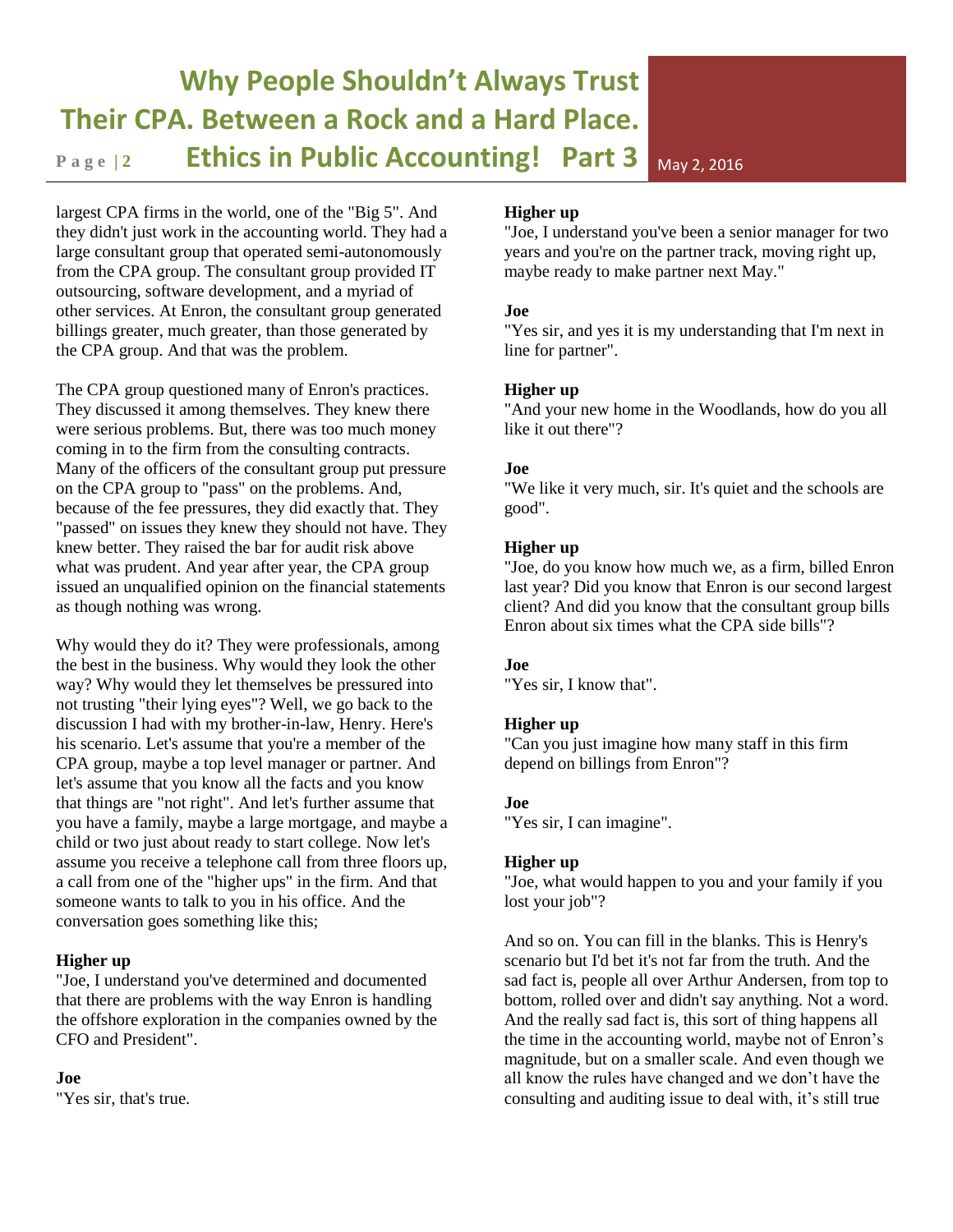# **Why People Shouldn't Always Trust Their CPA. Between a Rock and a Hard Place. Page 2 Ethics in Public Accounting! Part 3** May 2, 2016

largest CPA firms in the world, one of the "Big 5". And they didn't just work in the accounting world. They had a large consultant group that operated semi-autonomously from the CPA group. The consultant group provided IT outsourcing, software development, and a myriad of other services. At Enron, the consultant group generated billings greater, much greater, than those generated by the CPA group. And that was the problem.

The CPA group questioned many of Enron's practices. They discussed it among themselves. They knew there were serious problems. But, there was too much money coming in to the firm from the consulting contracts. Many of the officers of the consultant group put pressure on the CPA group to "pass" on the problems. And, because of the fee pressures, they did exactly that. They "passed" on issues they knew they should not have. They knew better. They raised the bar for audit risk above what was prudent. And year after year, the CPA group issued an unqualified opinion on the financial statements as though nothing was wrong.

Why would they do it? They were professionals, among the best in the business. Why would they look the other way? Why would they let themselves be pressured into not trusting "their lying eyes"? Well, we go back to the discussion I had with my brother-in-law, Henry. Here's his scenario. Let's assume that you're a member of the CPA group, maybe a top level manager or partner. And let's assume that you know all the facts and you know that things are "not right". And let's further assume that you have a family, maybe a large mortgage, and maybe a child or two just about ready to start college. Now let's assume you receive a telephone call from three floors up, a call from one of the "higher ups" in the firm. And that someone wants to talk to you in his office. And the conversation goes something like this;

#### **Higher up**

"Joe, I understand you've determined and documented that there are problems with the way Enron is handling the offshore exploration in the companies owned by the CFO and President".

# **Joe**

"Yes sir, that's true.

# **Higher up**

"Joe, I understand you've been a senior manager for two years and you're on the partner track, moving right up, maybe ready to make partner next May."

### **Joe**

"Yes sir, and yes it is my understanding that I'm next in line for partner".

### **Higher up**

"And your new home in the Woodlands, how do you all like it out there"?

### **Joe**

"We like it very much, sir. It's quiet and the schools are good".

### **Higher up**

"Joe, do you know how much we, as a firm, billed Enron last year? Did you know that Enron is our second largest client? And did you know that the consultant group bills Enron about six times what the CPA side bills"?

#### **Joe**

"Yes sir, I know that".

#### **Higher up**

"Can you just imagine how many staff in this firm depend on billings from Enron"?

# **Joe**

"Yes sir, I can imagine".

#### **Higher up**

"Joe, what would happen to you and your family if you lost your job"?

And so on. You can fill in the blanks. This is Henry's scenario but I'd bet it's not far from the truth. And the sad fact is, people all over Arthur Andersen, from top to bottom, rolled over and didn't say anything. Not a word. And the really sad fact is, this sort of thing happens all the time in the accounting world, maybe not of Enron's magnitude, but on a smaller scale. And even though we all know the rules have changed and we don't have the consulting and auditing issue to deal with, it's still true